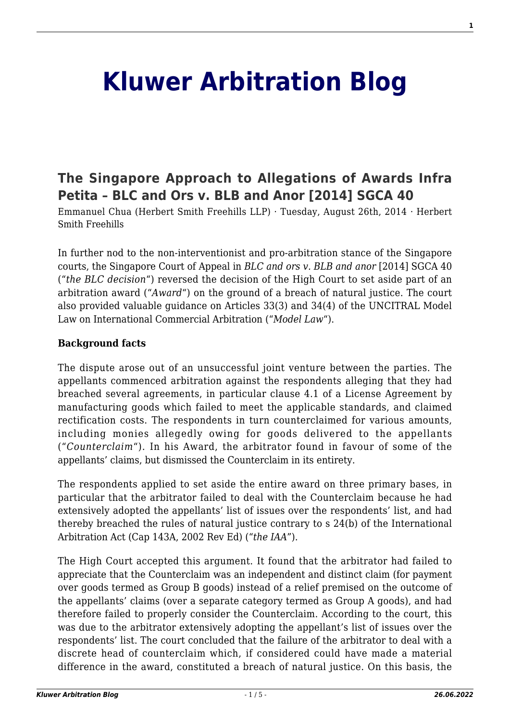# **[Kluwer Arbitration Blog](http://arbitrationblog.kluwerarbitration.com/)**

# **[The Singapore Approach to Allegations of Awards Infra](http://arbitrationblog.kluwerarbitration.com/2014/08/26/the-singapore-approach-to-allegations-of-awards-infra-petita-blc-and-ors-v-blb-and-anor-2014-sgca-40/) [Petita – BLC and Ors v. BLB and Anor \[2014\] SGCA 40](http://arbitrationblog.kluwerarbitration.com/2014/08/26/the-singapore-approach-to-allegations-of-awards-infra-petita-blc-and-ors-v-blb-and-anor-2014-sgca-40/)**

Emmanuel Chua (Herbert Smith Freehills LLP) · Tuesday, August 26th, 2014 · Herbert Smith Freehills

In further nod to the non-interventionist and pro-arbitration stance of the Singapore courts, the Singapore Court of Appeal in *BLC and ors v. BLB and anor* [2014] SGCA 40 ("*the BLC decision*") reversed the decision of the High Court to set aside part of an arbitration award ("*Award*") on the ground of a breach of natural justice. The court also provided valuable guidance on Articles 33(3) and 34(4) of the UNCITRAL Model Law on International Commercial Arbitration ("*Model Law*").

# **Background facts**

The dispute arose out of an unsuccessful joint venture between the parties. The appellants commenced arbitration against the respondents alleging that they had breached several agreements, in particular clause 4.1 of a License Agreement by manufacturing goods which failed to meet the applicable standards, and claimed rectification costs. The respondents in turn counterclaimed for various amounts, including monies allegedly owing for goods delivered to the appellants ("*Counterclaim*"). In his Award, the arbitrator found in favour of some of the appellants' claims, but dismissed the Counterclaim in its entirety.

The respondents applied to set aside the entire award on three primary bases, in particular that the arbitrator failed to deal with the Counterclaim because he had extensively adopted the appellants' list of issues over the respondents' list, and had thereby breached the rules of natural justice contrary to s 24(b) of the International Arbitration Act (Cap 143A, 2002 Rev Ed) ("*the IAA*").

The High Court accepted this argument. It found that the arbitrator had failed to appreciate that the Counterclaim was an independent and distinct claim (for payment over goods termed as Group B goods) instead of a relief premised on the outcome of the appellants' claims (over a separate category termed as Group A goods), and had therefore failed to properly consider the Counterclaim. According to the court, this was due to the arbitrator extensively adopting the appellant's list of issues over the respondents' list. The court concluded that the failure of the arbitrator to deal with a discrete head of counterclaim which, if considered could have made a material difference in the award, constituted a breach of natural justice. On this basis, the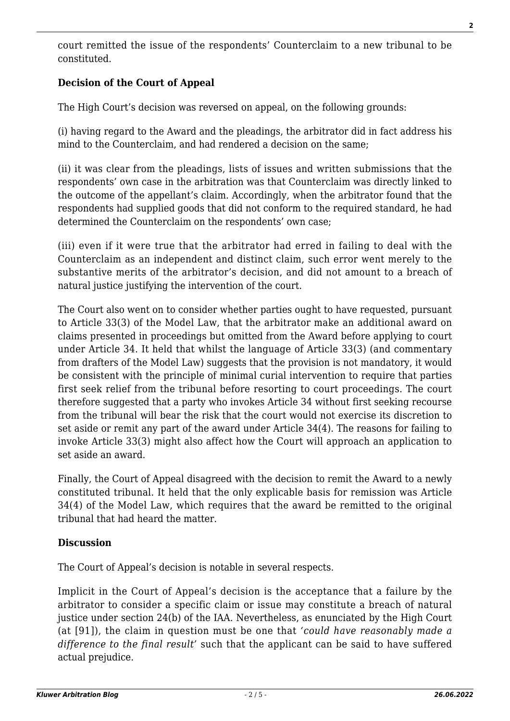court remitted the issue of the respondents' Counterclaim to a new tribunal to be constituted.

# **Decision of the Court of Appeal**

The High Court's decision was reversed on appeal, on the following grounds:

(i) having regard to the Award and the pleadings, the arbitrator did in fact address his mind to the Counterclaim, and had rendered a decision on the same;

(ii) it was clear from the pleadings, lists of issues and written submissions that the respondents' own case in the arbitration was that Counterclaim was directly linked to the outcome of the appellant's claim. Accordingly, when the arbitrator found that the respondents had supplied goods that did not conform to the required standard, he had determined the Counterclaim on the respondents' own case;

(iii) even if it were true that the arbitrator had erred in failing to deal with the Counterclaim as an independent and distinct claim, such error went merely to the substantive merits of the arbitrator's decision, and did not amount to a breach of natural justice justifying the intervention of the court.

The Court also went on to consider whether parties ought to have requested, pursuant to Article 33(3) of the Model Law, that the arbitrator make an additional award on claims presented in proceedings but omitted from the Award before applying to court under Article 34. It held that whilst the language of Article 33(3) (and commentary from drafters of the Model Law) suggests that the provision is not mandatory, it would be consistent with the principle of minimal curial intervention to require that parties first seek relief from the tribunal before resorting to court proceedings. The court therefore suggested that a party who invokes Article 34 without first seeking recourse from the tribunal will bear the risk that the court would not exercise its discretion to set aside or remit any part of the award under Article 34(4). The reasons for failing to invoke Article 33(3) might also affect how the Court will approach an application to set aside an award.

Finally, the Court of Appeal disagreed with the decision to remit the Award to a newly constituted tribunal. It held that the only explicable basis for remission was Article 34(4) of the Model Law, which requires that the award be remitted to the original tribunal that had heard the matter.

# **Discussion**

The Court of Appeal's decision is notable in several respects.

Implicit in the Court of Appeal's decision is the acceptance that a failure by the arbitrator to consider a specific claim or issue may constitute a breach of natural justice under section 24(b) of the IAA. Nevertheless, as enunciated by the High Court (at [91]), the claim in question must be one that *'could have reasonably made a difference to the final result'* such that the applicant can be said to have suffered actual prejudice.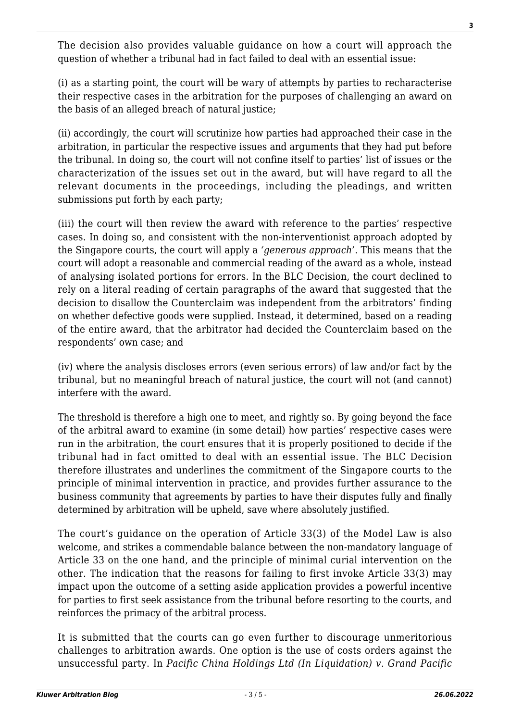The decision also provides valuable guidance on how a court will approach the question of whether a tribunal had in fact failed to deal with an essential issue:

(i) as a starting point, the court will be wary of attempts by parties to recharacterise their respective cases in the arbitration for the purposes of challenging an award on the basis of an alleged breach of natural justice;

(ii) accordingly, the court will scrutinize how parties had approached their case in the arbitration, in particular the respective issues and arguments that they had put before the tribunal. In doing so, the court will not confine itself to parties' list of issues or the characterization of the issues set out in the award, but will have regard to all the relevant documents in the proceedings, including the pleadings, and written submissions put forth by each party;

(iii) the court will then review the award with reference to the parties' respective cases. In doing so, and consistent with the non-interventionist approach adopted by the Singapore courts, the court will apply a *'generous approach'*. This means that the court will adopt a reasonable and commercial reading of the award as a whole, instead of analysing isolated portions for errors. In the BLC Decision, the court declined to rely on a literal reading of certain paragraphs of the award that suggested that the decision to disallow the Counterclaim was independent from the arbitrators' finding on whether defective goods were supplied. Instead, it determined, based on a reading of the entire award, that the arbitrator had decided the Counterclaim based on the respondents' own case; and

(iv) where the analysis discloses errors (even serious errors) of law and/or fact by the tribunal, but no meaningful breach of natural justice, the court will not (and cannot) interfere with the award.

The threshold is therefore a high one to meet, and rightly so. By going beyond the face of the arbitral award to examine (in some detail) how parties' respective cases were run in the arbitration, the court ensures that it is properly positioned to decide if the tribunal had in fact omitted to deal with an essential issue. The BLC Decision therefore illustrates and underlines the commitment of the Singapore courts to the principle of minimal intervention in practice, and provides further assurance to the business community that agreements by parties to have their disputes fully and finally determined by arbitration will be upheld, save where absolutely justified.

The court's guidance on the operation of Article 33(3) of the Model Law is also welcome, and strikes a commendable balance between the non-mandatory language of Article 33 on the one hand, and the principle of minimal curial intervention on the other. The indication that the reasons for failing to first invoke Article 33(3) may impact upon the outcome of a setting aside application provides a powerful incentive for parties to first seek assistance from the tribunal before resorting to the courts, and reinforces the primacy of the arbitral process.

It is submitted that the courts can go even further to discourage unmeritorious challenges to arbitration awards. One option is the use of costs orders against the unsuccessful party. In *Pacific China Holdings Ltd (In Liquidation) v. Grand Pacific*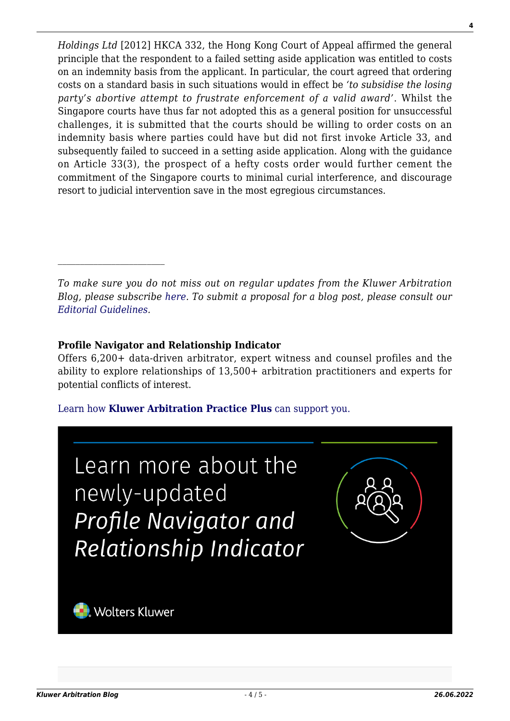*Holdings Ltd* [2012] HKCA 332, the Hong Kong Court of Appeal affirmed the general principle that the respondent to a failed setting aside application was entitled to costs on an indemnity basis from the applicant. In particular, the court agreed that ordering costs on a standard basis in such situations would in effect be *'to subsidise the losing party's abortive attempt to frustrate enforcement of a valid award'*. Whilst the Singapore courts have thus far not adopted this as a general position for unsuccessful challenges, it is submitted that the courts should be willing to order costs on an indemnity basis where parties could have but did not first invoke Article 33, and subsequently failed to succeed in a setting aside application. Along with the guidance on Article 33(3), the prospect of a hefty costs order would further cement the commitment of the Singapore courts to minimal curial interference, and discourage resort to judicial intervention save in the most egregious circumstances.

*To make sure you do not miss out on regular updates from the Kluwer Arbitration Blog, please subscribe [here](http://arbitrationblog.kluwerarbitration.com/newsletter/). To submit a proposal for a blog post, please consult our [Editorial Guidelines.](http://arbitrationblog.kluwerarbitration.com/editorial-guidelines/)*

# **Profile Navigator and Relationship Indicator**

Offers 6,200+ data-driven arbitrator, expert witness and counsel profiles and the ability to explore relationships of 13,500+ arbitration practitioners and experts for potential conflicts of interest.

# [Learn how](https://www.wolterskluwer.com/en/solutions/kluwerarbitration/practiceplus?utm_source=arbitrationblog&utm_medium=articleCTA&utm_campaign=article-banner) **[Kluwer Arbitration Practice Plus](https://www.wolterskluwer.com/en/solutions/kluwerarbitration/practiceplus?utm_source=arbitrationblog&utm_medium=articleCTA&utm_campaign=article-banner)** [can support you.](https://www.wolterskluwer.com/en/solutions/kluwerarbitration/practiceplus?utm_source=arbitrationblog&utm_medium=articleCTA&utm_campaign=article-banner)